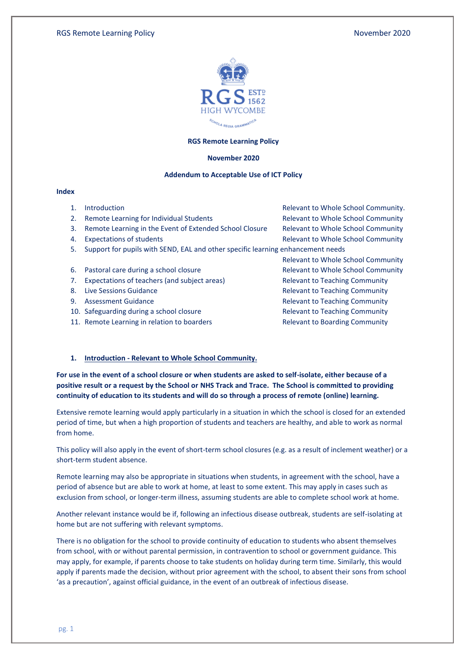

# **RGS Remote Learning Policy**

#### **November 2020**

## **Addendum to Acceptable Use of ICT Policy**

#### **Index**

- 
- 2. Remote Learning for Individual Students **Relevant to Whole School Community**
- 3. Remote Learning in the Event of Extended School Closure Relevant to Whole School Community
- 
- 5. Support for pupils with SEND, EAL and other specific learning enhancement needs
- 
- 7. Expectations of teachers (and subject areas) Relevant to Teaching Community
- 
- 
- 10. Safeguarding during a school closure **Relevant to Teaching Community**
- 11. Remote Learning in relation to boarders **Relevant to Boarding Community**

1. Introduction Relevant to Whole School Community. 4. Expectations of students **Relevant to Whole School Community** 

Relevant to Whole School Community 6. Pastoral care during a school closure **Relevant to Whole School Community** 8. Live Sessions Guidance **Relevant to Teaching Community** 9. Assessment Guidance **Relevant to Teaching Community** 

#### **1. Introduction - Relevant to Whole School Community.**

**For use in the event of a school closure or when students are asked to self-isolate, either because of a positive result or a request by the School or NHS Track and Trace. The School is committed to providing continuity of education to its students and will do so through a process of remote (online) learning.** 

Extensive remote learning would apply particularly in a situation in which the school is closed for an extended period of time, but when a high proportion of students and teachers are healthy, and able to work as normal from home.

This policy will also apply in the event of short-term school closures (e.g. as a result of inclement weather) or a short-term student absence.

Remote learning may also be appropriate in situations when students, in agreement with the school, have a period of absence but are able to work at home, at least to some extent. This may apply in cases such as exclusion from school, or longer-term illness, assuming students are able to complete school work at home.

Another relevant instance would be if, following an infectious disease outbreak, students are self-isolating at home but are not suffering with relevant symptoms.

There is no obligation for the school to provide continuity of education to students who absent themselves from school, with or without parental permission, in contravention to school or government guidance. This may apply, for example, if parents choose to take students on holiday during term time. Similarly, this would apply if parents made the decision, without prior agreement with the school, to absent their sons from school 'as a precaution', against official guidance, in the event of an outbreak of infectious disease.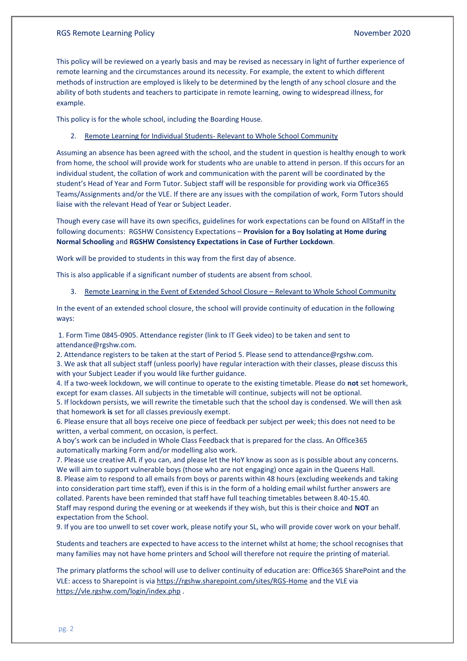# RGS Remote Learning Policy November 2020

This policy will be reviewed on a yearly basis and may be revised as necessary in light of further experience of remote learning and the circumstances around its necessity. For example, the extent to which different methods of instruction are employed is likely to be determined by the length of any school closure and the ability of both students and teachers to participate in remote learning, owing to widespread illness, for example.

This policy is for the whole school, including the Boarding House.

# 2. Remote Learning for Individual Students- Relevant to Whole School Community

Assuming an absence has been agreed with the school, and the student in question is healthy enough to work from home, the school will provide work for students who are unable to attend in person. If this occurs for an individual student, the collation of work and communication with the parent will be coordinated by the student's Head of Year and Form Tutor. Subject staff will be responsible for providing work via Office365 Teams/Assignments and/or the VLE. If there are any issues with the compilation of work, Form Tutors should liaise with the relevant Head of Year or Subject Leader.

Though every case will have its own specifics, guidelines for work expectations can be found on AllStaff in the following documents: RGSHW Consistency Expectations – **Provision for a Boy Isolating at Home during Normal Schooling** and **RGSHW Consistency Expectations in Case of Further Lockdown**.

Work will be provided to students in this way from the first day of absence.

This is also applicable if a significant number of students are absent from school.

3. Remote Learning in the Event of Extended School Closure – Relevant to Whole School Community

In the event of an extended school closure, the school will provide continuity of education in the following ways:

1. Form Time 0845-0905. Attendance register (link to IT Geek video) to be taken and sent to attendance@rgshw.com.

2. Attendance registers to be taken at the start of Period 5. Please send to attendance@rgshw.com. 3. We ask that all subject staff (unless poorly) have regular interaction with their classes, please discuss this with your Subject Leader if you would like further guidance.

4. If a two-week lockdown, we will continue to operate to the existing timetable. Please do **not** set homework, except for exam classes. All subjects in the timetable will continue, subjects will not be optional.

5. If lockdown persists, we will rewrite the timetable such that the school day is condensed. We will then ask that homework **is** set for all classes previously exempt.

6. Please ensure that all boys receive one piece of feedback per subject per week; this does not need to be written, a verbal comment, on occasion, is perfect.

A boy's work can be included in Whole Class Feedback that is prepared for the class. An Office365 automatically marking Form and/or modelling also work.

7. Please use creative AfL if you can, and please let the HoY know as soon as is possible about any concerns. We will aim to support vulnerable boys (those who are not engaging) once again in the Queens Hall. 8. Please aim to respond to all emails from boys or parents within 48 hours (excluding weekends and taking into consideration part time staff), even if this is in the form of a holding email whilst further answers are collated. Parents have been reminded that staff have full teaching timetables between 8.40-15.40. Staff may respond during the evening or at weekends if they wish, but this is their choice and **NOT** an expectation from the School.

9. If you are too unwell to set cover work, please notify your SL, who will provide cover work on your behalf.

Students and teachers are expected to have access to the internet whilst at home; the school recognises that many families may not have home printers and School will therefore not require the printing of material.

The primary platforms the school will use to deliver continuity of education are: Office365 SharePoint and the VLE: access to Sharepoint is via<https://rgshw.sharepoint.com/sites/RGS-Home> and the VLE via <https://vle.rgshw.com/login/index.php> .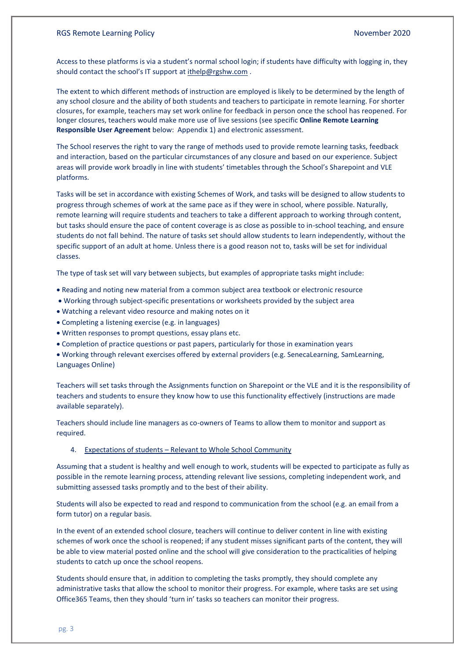# RGS Remote Learning Policy November 2020

Access to these platforms is via a student's normal school login; if students have difficulty with logging in, they should contact the school's IT support at [ithelp@rgshw.com](mailto:ithelp@rgshw.com) .

The extent to which different methods of instruction are employed is likely to be determined by the length of any school closure and the ability of both students and teachers to participate in remote learning. For shorter closures, for example, teachers may set work online for feedback in person once the school has reopened. For longer closures, teachers would make more use of live sessions (see specific **Online Remote Learning Responsible User Agreement** below: Appendix 1) and electronic assessment.

The School reserves the right to vary the range of methods used to provide remote learning tasks, feedback and interaction, based on the particular circumstances of any closure and based on our experience. Subject areas will provide work broadly in line with students' timetables through the School's Sharepoint and VLE platforms.

Tasks will be set in accordance with existing Schemes of Work, and tasks will be designed to allow students to progress through schemes of work at the same pace as if they were in school, where possible. Naturally, remote learning will require students and teachers to take a different approach to working through content, but tasks should ensure the pace of content coverage is as close as possible to in-school teaching, and ensure students do not fall behind. The nature of tasks set should allow students to learn independently, without the specific support of an adult at home. Unless there is a good reason not to, tasks will be set for individual classes.

The type of task set will vary between subjects, but examples of appropriate tasks might include:

- Reading and noting new material from a common subject area textbook or electronic resource
- Working through subject-specific presentations or worksheets provided by the subject area
- Watching a relevant video resource and making notes on it
- Completing a listening exercise (e.g. in languages)
- Written responses to prompt questions, essay plans etc.
- Completion of practice questions or past papers, particularly for those in examination years

• Working through relevant exercises offered by external providers (e.g. SenecaLearning, SamLearning, Languages Online)

Teachers will set tasks through the Assignments function on Sharepoint or the VLE and it is the responsibility of teachers and students to ensure they know how to use this functionality effectively (instructions are made available separately).

Teachers should include line managers as co-owners of Teams to allow them to monitor and support as required.

4. Expectations of students – Relevant to Whole School Community

Assuming that a student is healthy and well enough to work, students will be expected to participate as fully as possible in the remote learning process, attending relevant live sessions, completing independent work, and submitting assessed tasks promptly and to the best of their ability.

Students will also be expected to read and respond to communication from the school (e.g. an email from a form tutor) on a regular basis.

In the event of an extended school closure, teachers will continue to deliver content in line with existing schemes of work once the school is reopened; if any student misses significant parts of the content, they will be able to view material posted online and the school will give consideration to the practicalities of helping students to catch up once the school reopens.

Students should ensure that, in addition to completing the tasks promptly, they should complete any administrative tasks that allow the school to monitor their progress. For example, where tasks are set using Office365 Teams, then they should 'turn in' tasks so teachers can monitor their progress.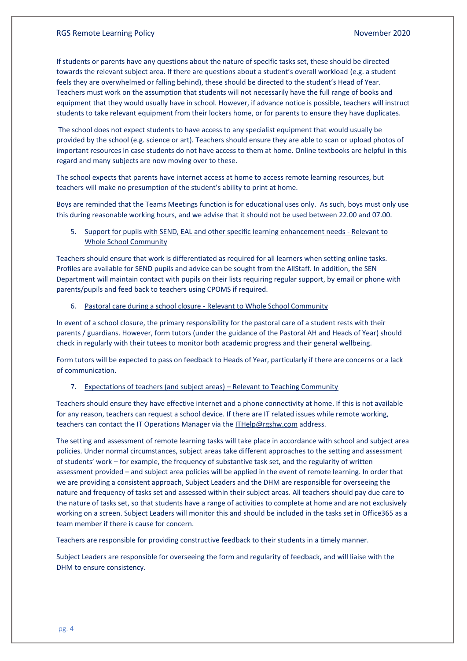If students or parents have any questions about the nature of specific tasks set, these should be directed towards the relevant subject area. If there are questions about a student's overall workload (e.g. a student feels they are overwhelmed or falling behind), these should be directed to the student's Head of Year. Teachers must work on the assumption that students will not necessarily have the full range of books and equipment that they would usually have in school. However, if advance notice is possible, teachers will instruct students to take relevant equipment from their lockers home, or for parents to ensure they have duplicates.

The school does not expect students to have access to any specialist equipment that would usually be provided by the school (e.g. science or art). Teachers should ensure they are able to scan or upload photos of important resources in case students do not have access to them at home. Online textbooks are helpful in this regard and many subjects are now moving over to these.

The school expects that parents have internet access at home to access remote learning resources, but teachers will make no presumption of the student's ability to print at home.

Boys are reminded that the Teams Meetings function is for educational uses only. As such, boys must only use this during reasonable working hours, and we advise that it should not be used between 22.00 and 07.00.

5. Support for pupils with SEND, EAL and other specific learning enhancement needs - Relevant to Whole School Community

Teachers should ensure that work is differentiated as required for all learners when setting online tasks. Profiles are available for SEND pupils and advice can be sought from the AllStaff. In addition, the SEN Department will maintain contact with pupils on their lists requiring regular support, by email or phone with parents/pupils and feed back to teachers using CPOMS if required.

6. Pastoral care during a school closure - Relevant to Whole School Community

In event of a school closure, the primary responsibility for the pastoral care of a student rests with their parents / guardians. However, form tutors (under the guidance of the Pastoral AH and Heads of Year) should check in regularly with their tutees to monitor both academic progress and their general wellbeing.

Form tutors will be expected to pass on feedback to Heads of Year, particularly if there are concerns or a lack of communication.

## 7. Expectations of teachers (and subject areas) – Relevant to Teaching Community

Teachers should ensure they have effective internet and a phone connectivity at home. If this is not available for any reason, teachers can request a school device. If there are IT related issues while remote working, teachers can contact the IT Operations Manager via the [ITHelp@rgshw.com](mailto:ITHelp@rgshw.com) address.

The setting and assessment of remote learning tasks will take place in accordance with school and subject area policies. Under normal circumstances, subject areas take different approaches to the setting and assessment of students' work – for example, the frequency of substantive task set, and the regularity of written assessment provided – and subject area policies will be applied in the event of remote learning. In order that we are providing a consistent approach, Subject Leaders and the DHM are responsible for overseeing the nature and frequency of tasks set and assessed within their subject areas. All teachers should pay due care to the nature of tasks set, so that students have a range of activities to complete at home and are not exclusively working on a screen. Subject Leaders will monitor this and should be included in the tasks set in Office365 as a team member if there is cause for concern.

Teachers are responsible for providing constructive feedback to their students in a timely manner.

Subject Leaders are responsible for overseeing the form and regularity of feedback, and will liaise with the DHM to ensure consistency.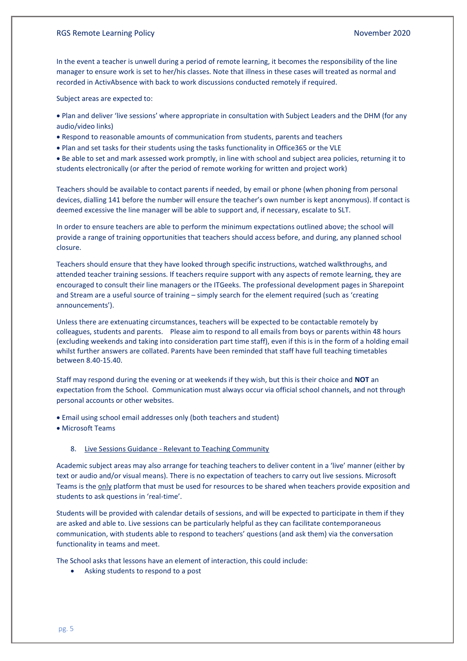In the event a teacher is unwell during a period of remote learning, it becomes the responsibility of the line manager to ensure work is set to her/his classes. Note that illness in these cases will treated as normal and recorded in ActivAbsence with back to work discussions conducted remotely if required.

Subject areas are expected to:

- Plan and deliver 'live sessions' where appropriate in consultation with Subject Leaders and the DHM (for any audio/video links)
- Respond to reasonable amounts of communication from students, parents and teachers
- Plan and set tasks for their students using the tasks functionality in Office365 or the VLE
- Be able to set and mark assessed work promptly, in line with school and subject area policies, returning it to students electronically (or after the period of remote working for written and project work)

Teachers should be available to contact parents if needed, by email or phone (when phoning from personal devices, dialling 141 before the number will ensure the teacher's own number is kept anonymous). If contact is deemed excessive the line manager will be able to support and, if necessary, escalate to SLT.

In order to ensure teachers are able to perform the minimum expectations outlined above; the school will provide a range of training opportunities that teachers should access before, and during, any planned school closure.

Teachers should ensure that they have looked through specific instructions, watched walkthroughs, and attended teacher training sessions. If teachers require support with any aspects of remote learning, they are encouraged to consult their line managers or the ITGeeks. The professional development pages in Sharepoint and Stream are a useful source of training – simply search for the element required (such as 'creating announcements').

Unless there are extenuating circumstances, teachers will be expected to be contactable remotely by colleagues, students and parents. Please aim to respond to all emails from boys or parents within 48 hours (excluding weekends and taking into consideration part time staff), even if this is in the form of a holding email whilst further answers are collated. Parents have been reminded that staff have full teaching timetables between 8.40-15.40.

Staff may respond during the evening or at weekends if they wish, but this is their choice and **NOT** an expectation from the School. Communication must always occur via official school channels, and not through personal accounts or other websites.

- Email using school email addresses only (both teachers and student)
- Microsoft Teams

#### 8. Live Sessions Guidance - Relevant to Teaching Community

Academic subject areas may also arrange for teaching teachers to deliver content in a 'live' manner (either by text or audio and/or visual means). There is no expectation of teachers to carry out live sessions. Microsoft Teams is the only platform that must be used for resources to be shared when teachers provide exposition and students to ask questions in 'real-time'.

Students will be provided with calendar details of sessions, and will be expected to participate in them if they are asked and able to. Live sessions can be particularly helpful as they can facilitate contemporaneous communication, with students able to respond to teachers' questions (and ask them) via the conversation functionality in teams and meet.

The School asks that lessons have an element of interaction, this could include:

• Asking students to respond to a post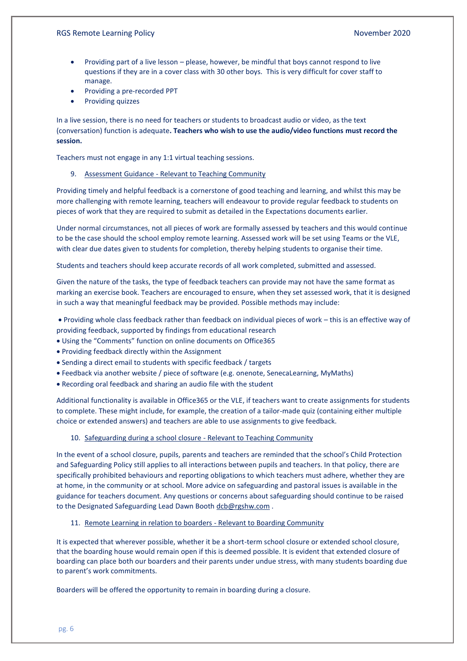- Providing part of a live lesson please, however, be mindful that boys cannot respond to live questions if they are in a cover class with 30 other boys. This is very difficult for cover staff to manage.
- Providing a pre-recorded PPT
- Providing quizzes

In a live session, there is no need for teachers or students to broadcast audio or video, as the text (conversation) function is adequate**. Teachers who wish to use the audio/video functions must record the session.** 

Teachers must not engage in any 1:1 virtual teaching sessions.

#### 9. Assessment Guidance - Relevant to Teaching Community

Providing timely and helpful feedback is a cornerstone of good teaching and learning, and whilst this may be more challenging with remote learning, teachers will endeavour to provide regular feedback to students on pieces of work that they are required to submit as detailed in the Expectations documents earlier.

Under normal circumstances, not all pieces of work are formally assessed by teachers and this would continue to be the case should the school employ remote learning. Assessed work will be set using Teams or the VLE, with clear due dates given to students for completion, thereby helping students to organise their time.

Students and teachers should keep accurate records of all work completed, submitted and assessed.

Given the nature of the tasks, the type of feedback teachers can provide may not have the same format as marking an exercise book. Teachers are encouraged to ensure, when they set assessed work, that it is designed in such a way that meaningful feedback may be provided. Possible methods may include:

• Providing whole class feedback rather than feedback on individual pieces of work – this is an effective way of providing feedback, supported by findings from educational research

• Using the "Comments" function on online documents on Office365

- Providing feedback directly within the Assignment
- Sending a direct email to students with specific feedback / targets
- Feedback via another website / piece of software (e.g. onenote, SenecaLearning, MyMaths)
- Recording oral feedback and sharing an audio file with the student

Additional functionality is available in Office365 or the VLE, if teachers want to create assignments for students to complete. These might include, for example, the creation of a tailor-made quiz (containing either multiple choice or extended answers) and teachers are able to use assignments to give feedback.

# 10. Safeguarding during a school closure - Relevant to Teaching Community

In the event of a school closure, pupils, parents and teachers are reminded that the school's Child Protection and Safeguarding Policy still applies to all interactions between pupils and teachers. In that policy, there are specifically prohibited behaviours and reporting obligations to which teachers must adhere, whether they are at home, in the community or at school. More advice on safeguarding and pastoral issues is available in the guidance for teachers document. Any questions or concerns about safeguarding should continue to be raised to the Designated Safeguarding Lead Dawn Booth [dcb@rgshw.com](mailto:dcb@rgshw.com) .

11. Remote Learning in relation to boarders - Relevant to Boarding Community

It is expected that wherever possible, whether it be a short-term school closure or extended school closure, that the boarding house would remain open if this is deemed possible. It is evident that extended closure of boarding can place both our boarders and their parents under undue stress, with many students boarding due to parent's work commitments.

Boarders will be offered the opportunity to remain in boarding during a closure.